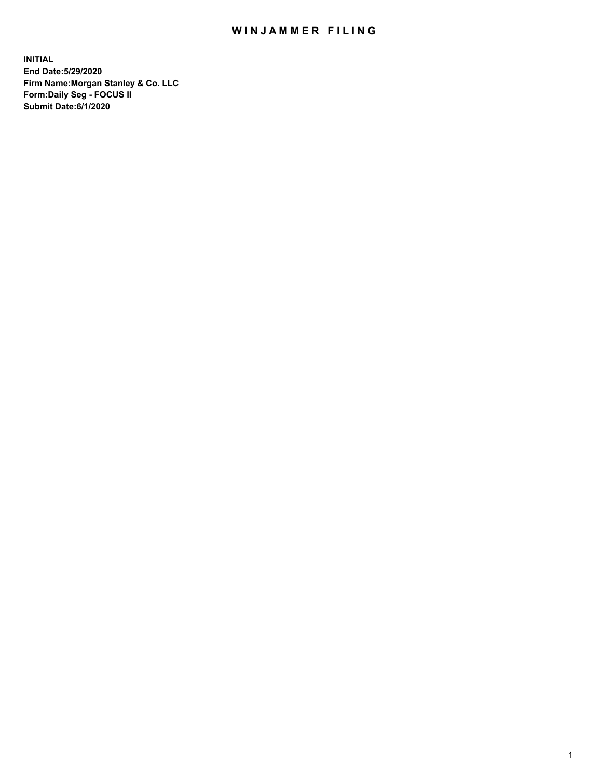## WIN JAMMER FILING

**INITIAL End Date:5/29/2020 Firm Name:Morgan Stanley & Co. LLC Form:Daily Seg - FOCUS II Submit Date:6/1/2020**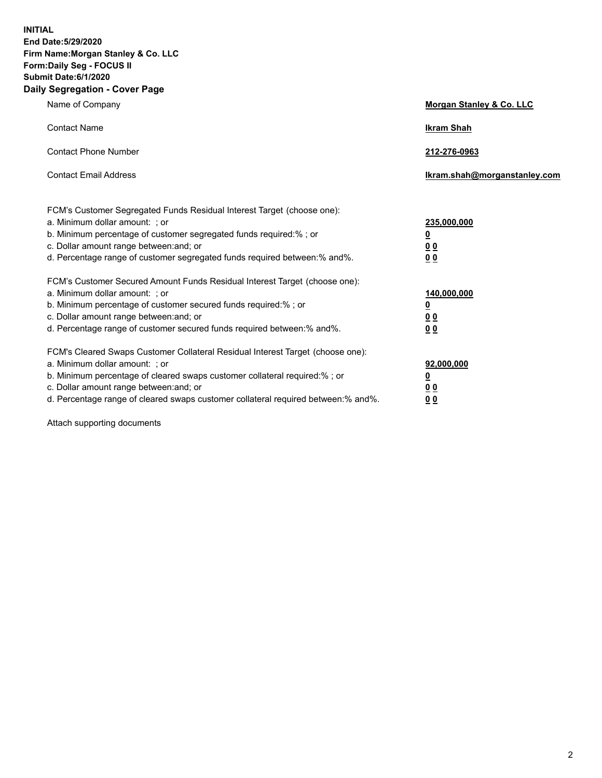**INITIAL End Date:5/29/2020 Firm Name:Morgan Stanley & Co. LLC Form:Daily Seg - FOCUS II Submit Date:6/1/2020 Daily Segregation - Cover Page**

| Name of Company                                                                                                                                                                                                                                                                                                                | Morgan Stanley & Co. LLC                               |
|--------------------------------------------------------------------------------------------------------------------------------------------------------------------------------------------------------------------------------------------------------------------------------------------------------------------------------|--------------------------------------------------------|
| <b>Contact Name</b>                                                                                                                                                                                                                                                                                                            | <b>Ikram Shah</b>                                      |
| <b>Contact Phone Number</b>                                                                                                                                                                                                                                                                                                    | 212-276-0963                                           |
| <b>Contact Email Address</b>                                                                                                                                                                                                                                                                                                   | Ikram.shah@morganstanley.com                           |
| FCM's Customer Segregated Funds Residual Interest Target (choose one):<br>a. Minimum dollar amount: ; or<br>b. Minimum percentage of customer segregated funds required:% ; or<br>c. Dollar amount range between: and; or<br>d. Percentage range of customer segregated funds required between:% and%.                         | 235,000,000<br><u>0</u><br><u>00</u><br>0 Q            |
| FCM's Customer Secured Amount Funds Residual Interest Target (choose one):<br>a. Minimum dollar amount: ; or<br>b. Minimum percentage of customer secured funds required:%; or<br>c. Dollar amount range between: and; or<br>d. Percentage range of customer secured funds required between:% and%.                            | 140,000,000<br><u>0</u><br><u>00</u><br>0 <sup>0</sup> |
| FCM's Cleared Swaps Customer Collateral Residual Interest Target (choose one):<br>a. Minimum dollar amount: ; or<br>b. Minimum percentage of cleared swaps customer collateral required:% ; or<br>c. Dollar amount range between: and; or<br>d. Percentage range of cleared swaps customer collateral required between:% and%. | 92,000,000<br><u>0</u><br>00<br>00                     |

Attach supporting documents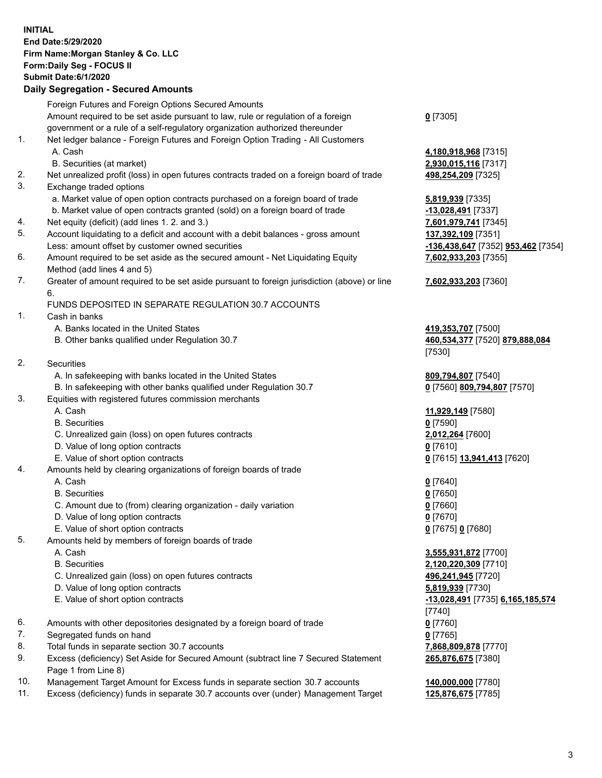|     | <b>INITIAL</b><br>End Date: 5/29/2020                                                       |                                    |
|-----|---------------------------------------------------------------------------------------------|------------------------------------|
|     | Firm Name: Morgan Stanley & Co. LLC                                                         |                                    |
|     | Form: Daily Seg - FOCUS II                                                                  |                                    |
|     | Submit Date: 6/1/2020                                                                       |                                    |
|     | <b>Daily Segregation - Secured Amounts</b>                                                  |                                    |
|     | Foreign Futures and Foreign Options Secured Amounts                                         |                                    |
|     | Amount required to be set aside pursuant to law, rule or regulation of a foreign            | $0$ [7305]                         |
|     | government or a rule of a self-regulatory organization authorized thereunder                |                                    |
| 1.  | Net ledger balance - Foreign Futures and Foreign Option Trading - All Customers             |                                    |
|     | A. Cash                                                                                     | 4,180,918,968 [7315]               |
|     | B. Securities (at market)                                                                   | 2,930,015,116 [7317]               |
| 2.  | Net unrealized profit (loss) in open futures contracts traded on a foreign board of trade   | 498,254,209 [7325]                 |
| 3.  | Exchange traded options                                                                     |                                    |
|     | a. Market value of open option contracts purchased on a foreign board of trade              | 5,819,939 [7335]                   |
|     | b. Market value of open contracts granted (sold) on a foreign board of trade                | -13,028,491 [7337]                 |
| 4.  | Net equity (deficit) (add lines 1.2. and 3.)                                                | 7,601,979,741 [7345]               |
| 5.  | Account liquidating to a deficit and account with a debit balances - gross amount           | 137,392,109 [7351]                 |
|     | Less: amount offset by customer owned securities                                            | -136,438,647 [7352] 953,462 [7354] |
| 6.  | Amount required to be set aside as the secured amount - Net Liquidating Equity              | 7,602,933,203 [7355]               |
|     | Method (add lines 4 and 5)                                                                  |                                    |
| 7.  | Greater of amount required to be set aside pursuant to foreign jurisdiction (above) or line | 7,602,933,203 [7360]               |
|     | 6.                                                                                          |                                    |
|     | FUNDS DEPOSITED IN SEPARATE REGULATION 30.7 ACCOUNTS                                        |                                    |
| 1.  | Cash in banks                                                                               |                                    |
|     | A. Banks located in the United States                                                       | 419,353,707 [7500]                 |
|     | B. Other banks qualified under Regulation 30.7                                              | 460,534,377 [7520] 879,888,084     |
|     |                                                                                             | [7530]                             |
| 2.  | Securities                                                                                  |                                    |
|     | A. In safekeeping with banks located in the United States                                   | 809,794,807 [7540]                 |
|     | B. In safekeeping with other banks qualified under Regulation 30.7                          | 0 [7560] 809,794,807 [7570]        |
| 3.  | Equities with registered futures commission merchants                                       |                                    |
|     | A. Cash<br><b>B.</b> Securities                                                             | 11,929,149 [7580]<br>$0$ [7590]    |
|     | C. Unrealized gain (loss) on open futures contracts                                         |                                    |
|     | D. Value of long option contracts                                                           | 2,012,264 [7600]<br>$0$ [7610]     |
|     | E. Value of short option contracts                                                          | 0 [7615] 13,941,413 [7620]         |
| 4.  | Amounts held by clearing organizations of foreign boards of trade                           |                                    |
|     | A. Cash                                                                                     | $0$ [7640]                         |
|     | <b>B.</b> Securities                                                                        | $0$ [7650]                         |
|     | C. Amount due to (from) clearing organization - daily variation                             | $0$ [7660]                         |
|     | D. Value of long option contracts                                                           | $0$ [7670]                         |
|     | E. Value of short option contracts                                                          | 0 [7675] 0 [7680]                  |
| 5.  | Amounts held by members of foreign boards of trade                                          |                                    |
|     | A. Cash                                                                                     | 3,555,931,872 [7700]               |
|     | <b>B.</b> Securities                                                                        | 2,120,220,309 [7710]               |
|     | C. Unrealized gain (loss) on open futures contracts                                         | 496,241,945 [7720]                 |
|     | D. Value of long option contracts                                                           | 5,819,939 [7730]                   |
|     | E. Value of short option contracts                                                          | -13,028,491 [7735] 6,165,185,574   |
|     |                                                                                             | $[7740]$                           |
| 6.  | Amounts with other depositories designated by a foreign board of trade                      | $0$ [7760]                         |
| 7.  | Segregated funds on hand                                                                    | $0$ [7765]                         |
| 8.  | Total funds in separate section 30.7 accounts                                               | 7,868,809,878 [7770]               |
| 9.  | Excess (deficiency) Set Aside for Secured Amount (subtract line 7 Secured Statement         | 265,876,675 [7380]                 |
|     | Page 1 from Line 8)                                                                         |                                    |
| 10. | Management Target Amount for Excess funds in separate section 30.7 accounts                 | 140,000,000 [7780]                 |

11. Excess (deficiency) funds in separate 30.7 accounts over (under) Management Target **125,876,675** [7785]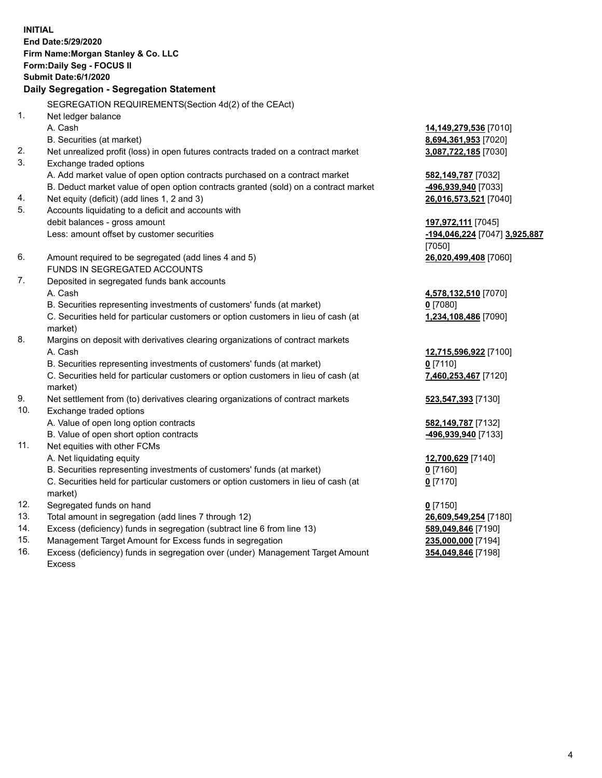**INITIAL End Date:5/29/2020 Firm Name:Morgan Stanley & Co. LLC Form:Daily Seg - FOCUS II Submit Date:6/1/2020 Daily Segregation - Segregation Statement** SEGREGATION REQUIREMENTS(Section 4d(2) of the CEAct) 1. Net ledger balance A. Cash **14,149,279,536** [7010] B. Securities (at market) **8,694,361,953** [7020] 2. Net unrealized profit (loss) in open futures contracts traded on a contract market **3,087,722,185** [7030] 3. Exchange traded options A. Add market value of open option contracts purchased on a contract market **582,149,787** [7032] B. Deduct market value of open option contracts granted (sold) on a contract market **-496,939,940** [7033] 4. Net equity (deficit) (add lines 1, 2 and 3) **26,016,573,521** [7040] 5. Accounts liquidating to a deficit and accounts with debit balances - gross amount **197,972,111** [7045] Less: amount offset by customer securities **-194,046,224** [7047] **3,925,887** [7050] 6. Amount required to be segregated (add lines 4 and 5) **26,020,499,408** [7060] FUNDS IN SEGREGATED ACCOUNTS 7. Deposited in segregated funds bank accounts A. Cash **4,578,132,510** [7070] B. Securities representing investments of customers' funds (at market) **0** [7080] C. Securities held for particular customers or option customers in lieu of cash (at market) **1,234,108,486** [7090] 8. Margins on deposit with derivatives clearing organizations of contract markets A. Cash **12,715,596,922** [7100] B. Securities representing investments of customers' funds (at market) **0** [7110] C. Securities held for particular customers or option customers in lieu of cash (at market) **7,460,253,467** [7120] 9. Net settlement from (to) derivatives clearing organizations of contract markets **523,547,393** [7130] 10. Exchange traded options A. Value of open long option contracts **582,149,787** [7132] B. Value of open short option contracts **-496,939,940** [7133] 11. Net equities with other FCMs A. Net liquidating equity **12,700,629** [7140] B. Securities representing investments of customers' funds (at market) **0** [7160] C. Securities held for particular customers or option customers in lieu of cash (at market) **0** [7170] 12. Segregated funds on hand **0** [7150] 13. Total amount in segregation (add lines 7 through 12) **26,609,549,254** [7180] 14. Excess (deficiency) funds in segregation (subtract line 6 from line 13) **589,049,846** [7190] 15. Management Target Amount for Excess funds in segregation **235,000,000** [7194]

16. Excess (deficiency) funds in segregation over (under) Management Target Amount Excess

**354,049,846** [7198]